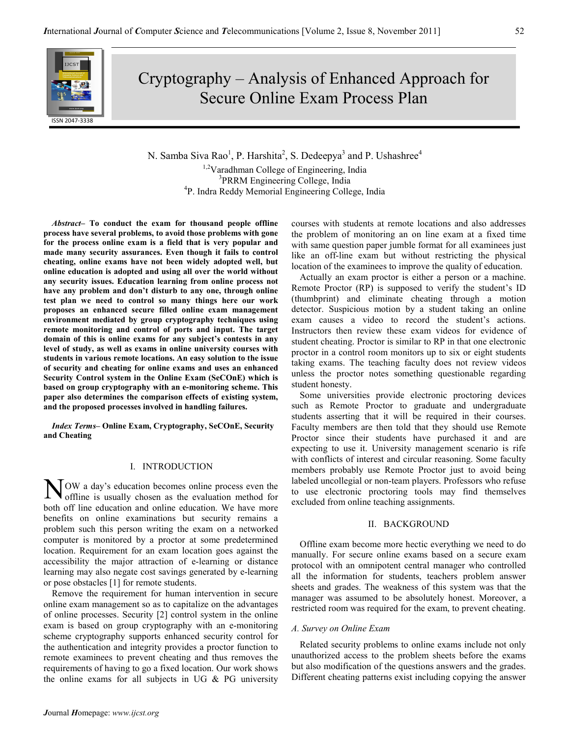

Cryptography – Analysis of Enhanced Approach for Secure Online Exam Process Plan

N. Samba Siva Rao<sup>1</sup>, P. Harshita<sup>2</sup>, S. Dedeepya<sup>3</sup> and P. Ushashree<sup>4</sup> <sup>1,2</sup>Varadhman College of Engineering, India 3 PRRM Engineering College, India 4 P. Indra Reddy Memorial Engineering College, India

Abstract– To conduct the exam for thousand people offline process have several problems, to avoid those problems with gone for the process online exam is a field that is very popular and made many security assurances. Even though it fails to control cheating, online exams have not been widely adopted well, but online education is adopted and using all over the world without any security issues. Education learning from online process not have any problem and don't disturb to any one, through online test plan we need to control so many things here our work proposes an enhanced secure filled online exam management environment mediated by group cryptography techniques using remote monitoring and control of ports and input. The target domain of this is online exams for any subject's contests in any level of study, as well as exams in online university courses with students in various remote locations. An easy solution to the issue of security and cheating for online exams and uses an enhanced Security Control system in the Online Exam (SeCOnE) which is based on group cryptography with an e-monitoring scheme. This paper also determines the comparison effects of existing system, and the proposed processes involved in handling failures.

Index Terms– Online Exam, Cryptography, SeCOnE, Security and Cheating

### I. INTRODUCTION

NOW a day's education becomes online process even the evaluation method for offline is usually chosen as the evaluation method for both off line education and online education. We have more benefits on online examinations but security remains a problem such this person writing the exam on a networked computer is monitored by a proctor at some predetermined location. Requirement for an exam location goes against the accessibility the major attraction of e-learning or distance learning may also negate cost savings generated by e-learning or pose obstacles [1] for remote students.

Remove the requirement for human intervention in secure online exam management so as to capitalize on the advantages of online processes. Security [2] control system in the online exam is based on group cryptography with an e-monitoring scheme cryptography supports enhanced security control for the authentication and integrity provides a proctor function to remote examinees to prevent cheating and thus removes the requirements of having to go a fixed location. Our work shows the online exams for all subjects in UG  $& PG$  university

courses with students at remote locations and also addresses the problem of monitoring an on line exam at a fixed time with same question paper jumble format for all examinees just like an off-line exam but without restricting the physical location of the examinees to improve the quality of education.

Actually an exam proctor is either a person or a machine. Remote Proctor (RP) is supposed to verify the student's ID (thumbprint) and eliminate cheating through a motion detector. Suspicious motion by a student taking an online exam causes a video to record the student's actions. Instructors then review these exam videos for evidence of student cheating. Proctor is similar to RP in that one electronic proctor in a control room monitors up to six or eight students taking exams. The teaching faculty does not review videos unless the proctor notes something questionable regarding student honesty.

Some universities provide electronic proctoring devices such as Remote Proctor to graduate and undergraduate students asserting that it will be required in their courses. Faculty members are then told that they should use Remote Proctor since their students have purchased it and are expecting to use it. University management scenario is rife with conflicts of interest and circular reasoning. Some faculty members probably use Remote Proctor just to avoid being labeled uncollegial or non-team players. Professors who refuse to use electronic proctoring tools may find themselves excluded from online teaching assignments.

## II. BACKGROUND

Offline exam become more hectic everything we need to do manually. For secure online exams based on a secure exam protocol with an omnipotent central manager who controlled all the information for students, teachers problem answer sheets and grades. The weakness of this system was that the manager was assumed to be absolutely honest. Moreover, a restricted room was required for the exam, to prevent cheating.

## A. Survey on Online Exam

Related security problems to online exams include not only unauthorized access to the problem sheets before the exams but also modification of the questions answers and the grades. Different cheating patterns exist including copying the answer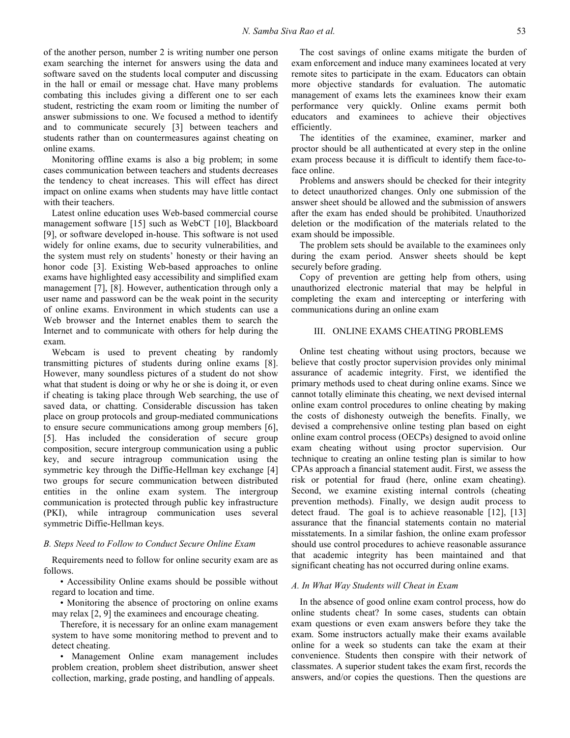of the another person, number 2 is writing number one person exam searching the internet for answers using the data and software saved on the students local computer and discussing in the hall or email or message chat. Have many problems combating this includes giving a different one to ser each student, restricting the exam room or limiting the number of answer submissions to one. We focused a method to identify and to communicate securely [3] between teachers and students rather than on countermeasures against cheating on online exams.

Monitoring offline exams is also a big problem; in some cases communication between teachers and students decreases the tendency to cheat increases. This will effect has direct impact on online exams when students may have little contact with their teachers.

Latest online education uses Web-based commercial course management software [15] such as WebCT [10], Blackboard [9], or software developed in-house. This software is not used widely for online exams, due to security vulnerabilities, and the system must rely on students' honesty or their having an honor code [3]. Existing Web-based approaches to online exams have highlighted easy accessibility and simplified exam management [7], [8]. However, authentication through only a user name and password can be the weak point in the security of online exams. Environment in which students can use a Web browser and the Internet enables them to search the Internet and to communicate with others for help during the exam.

Webcam is used to prevent cheating by randomly transmitting pictures of students during online exams [8]. However, many soundless pictures of a student do not show what that student is doing or why he or she is doing it, or even if cheating is taking place through Web searching, the use of saved data, or chatting. Considerable discussion has taken place on group protocols and group-mediated communications to ensure secure communications among group members [6], [5]. Has included the consideration of secure group composition, secure intergroup communication using a public key, and secure intragroup communication using the symmetric key through the Diffie-Hellman key exchange [4] two groups for secure communication between distributed entities in the online exam system. The intergroup communication is protected through public key infrastructure (PKI), while intragroup communication uses several symmetric Diffie-Hellman keys.

## B. Steps Need to Follow to Conduct Secure Online Exam

Requirements need to follow for online security exam are as follows.

• Accessibility Online exams should be possible without regard to location and time.

• Monitoring the absence of proctoring on online exams may relax [2, 9] the examinees and encourage cheating.

Therefore, it is necessary for an online exam management system to have some monitoring method to prevent and to detect cheating.

• Management Online exam management includes problem creation, problem sheet distribution, answer sheet collection, marking, grade posting, and handling of appeals.

The cost savings of online exams mitigate the burden of exam enforcement and induce many examinees located at very remote sites to participate in the exam. Educators can obtain more objective standards for evaluation. The automatic management of exams lets the examinees know their exam performance very quickly. Online exams permit both educators and examinees to achieve their objectives efficiently.

The identities of the examinee, examiner, marker and proctor should be all authenticated at every step in the online exam process because it is difficult to identify them face-toface online.

Problems and answers should be checked for their integrity to detect unauthorized changes. Only one submission of the answer sheet should be allowed and the submission of answers after the exam has ended should be prohibited. Unauthorized deletion or the modification of the materials related to the exam should be impossible.

The problem sets should be available to the examinees only during the exam period. Answer sheets should be kept securely before grading.

Copy of prevention are getting help from others, using unauthorized electronic material that may be helpful in completing the exam and intercepting or interfering with communications during an online exam

## III. ONLINE EXAMS CHEATING PROBLEMS

Online test cheating without using proctors, because we believe that costly proctor supervision provides only minimal assurance of academic integrity. First, we identified the primary methods used to cheat during online exams. Since we cannot totally eliminate this cheating, we next devised internal online exam control procedures to online cheating by making the costs of dishonesty outweigh the benefits. Finally, we devised a comprehensive online testing plan based on eight online exam control process (OECPs) designed to avoid online exam cheating without using proctor supervision. Our technique to creating an online testing plan is similar to how CPAs approach a financial statement audit. First, we assess the risk or potential for fraud (here, online exam cheating). Second, we examine existing internal controls (cheating prevention methods). Finally, we design audit process to detect fraud. The goal is to achieve reasonable [12], [13] assurance that the financial statements contain no material misstatements. In a similar fashion, the online exam professor should use control procedures to achieve reasonable assurance that academic integrity has been maintained and that significant cheating has not occurred during online exams.

# A. In What Way Students will Cheat in Exam

In the absence of good online exam control process, how do online students cheat? In some cases, students can obtain exam questions or even exam answers before they take the exam. Some instructors actually make their exams available online for a week so students can take the exam at their convenience. Students then conspire with their network of classmates. A superior student takes the exam first, records the answers, and/or copies the questions. Then the questions are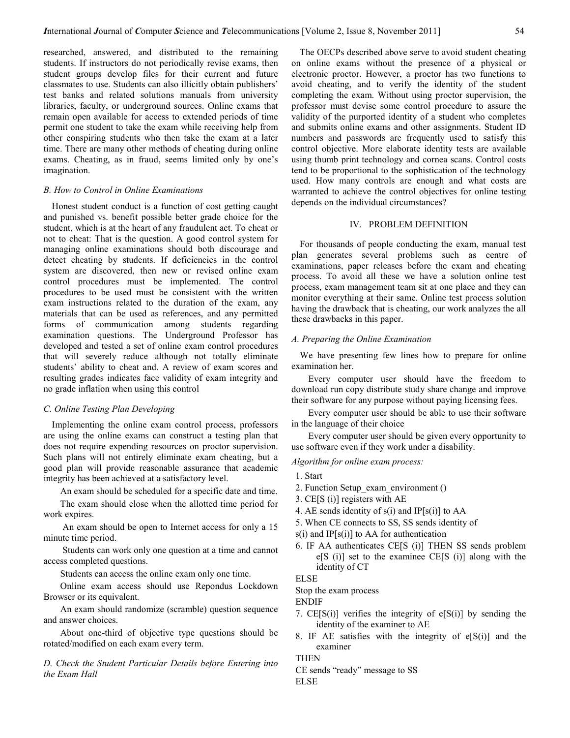researched, answered, and distributed to the remaining students. If instructors do not periodically revise exams, then student groups develop files for their current and future classmates to use. Students can also illicitly obtain publishers' test banks and related solutions manuals from university libraries, faculty, or underground sources. Online exams that remain open available for access to extended periods of time permit one student to take the exam while receiving help from other conspiring students who then take the exam at a later time. There are many other methods of cheating during online exams. Cheating, as in fraud, seems limited only by one's imagination.

# B. How to Control in Online Examinations

Honest student conduct is a function of cost getting caught and punished vs. benefit possible better grade choice for the student, which is at the heart of any fraudulent act. To cheat or not to cheat: That is the question. A good control system for managing online examinations should both discourage and detect cheating by students. If deficiencies in the control system are discovered, then new or revised online exam control procedures must be implemented. The control procedures to be used must be consistent with the written exam instructions related to the duration of the exam, any materials that can be used as references, and any permitted forms of communication among students regarding examination questions. The Underground Professor has developed and tested a set of online exam control procedures that will severely reduce although not totally eliminate students' ability to cheat and. A review of exam scores and resulting grades indicates face validity of exam integrity and no grade inflation when using this control

## C. Online Testing Plan Developing

Implementing the online exam control process, professors are using the online exams can construct a testing plan that does not require expending resources on proctor supervision. Such plans will not entirely eliminate exam cheating, but a good plan will provide reasonable assurance that academic integrity has been achieved at a satisfactory level.

An exam should be scheduled for a specific date and time.

The exam should close when the allotted time period for work expires.

 An exam should be open to Internet access for only a 15 minute time period.

 Students can work only one question at a time and cannot access completed questions.

Students can access the online exam only one time.

Online exam access should use Repondus Lockdown Browser or its equivalent.

An exam should randomize (scramble) question sequence and answer choices.

About one-third of objective type questions should be rotated/modified on each exam every term.

D. Check the Student Particular Details before Entering into the Exam Hall

The OECPs described above serve to avoid student cheating on online exams without the presence of a physical or electronic proctor. However, a proctor has two functions to avoid cheating, and to verify the identity of the student completing the exam. Without using proctor supervision, the professor must devise some control procedure to assure the validity of the purported identity of a student who completes and submits online exams and other assignments. Student ID numbers and passwords are frequently used to satisfy this control objective. More elaborate identity tests are available using thumb print technology and cornea scans. Control costs tend to be proportional to the sophistication of the technology used. How many controls are enough and what costs are warranted to achieve the control objectives for online testing depends on the individual circumstances?

#### IV. PROBLEM DEFINITION

For thousands of people conducting the exam, manual test plan generates several problems such as centre of examinations, paper releases before the exam and cheating process. To avoid all these we have a solution online test process, exam management team sit at one place and they can monitor everything at their same. Online test process solution having the drawback that is cheating, our work analyzes the all these drawbacks in this paper.

## A. Preparing the Online Examination

We have presenting few lines how to prepare for online examination her.

Every computer user should have the freedom to download run copy distribute study share change and improve their software for any purpose without paying licensing fees.

Every computer user should be able to use their software in the language of their choice

Every computer user should be given every opportunity to use software even if they work under a disability.

# Algorithm for online exam process:

- 1. Start
- 2. Function Setup\_exam\_environment ()
- 3. CE[S (i)] registers with AE
- 4. AE sends identity of  $s(i)$  and  $IP[s(i)]$  to AA
- 5. When CE connects to SS, SS sends identity of
- s(i) and IP[s(i)] to AA for authentication
- 6. IF AA authenticates CE[S (i)] THEN SS sends problem  $e[S(i)]$  set to the examinee CE $[S(i)]$  along with the identity of CT

ELSE

Stop the exam process

ENDIF

- 7.  $CE[S(i)]$  verifies the integrity of  $e[S(i)]$  by sending the identity of the examiner to AE
- 8. IF AE satisfies with the integrity of  $e[S(i)]$  and the examiner

THEN

CE sends "ready" message to SS

ELSE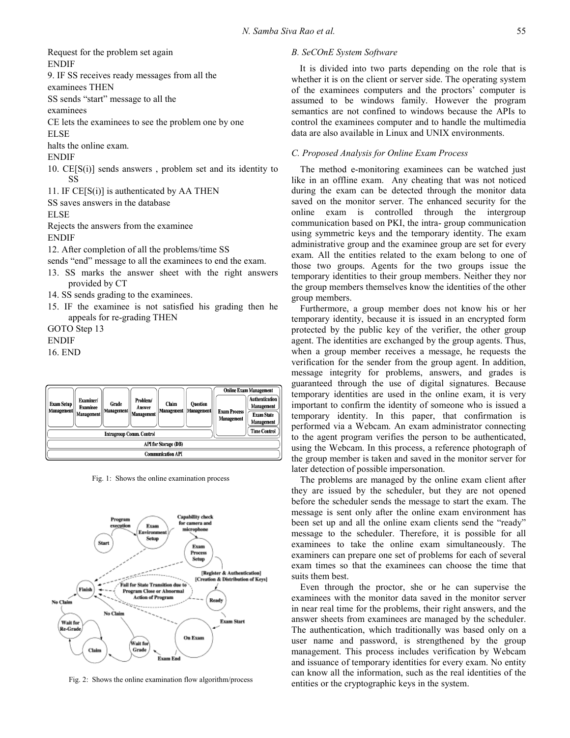Request for the problem set again ENDIF

9. IF SS receives ready messages from all the

examinees THEN

SS sends "start" message to all the

examinees

CE lets the examinees to see the problem one by one

ELSE

halts the online exam.

ENDIF

- 10. CE[S(i)] sends answers , problem set and its identity to SS
- 11. IF CE[S(i)] is authenticated by AA THEN

SS saves answers in the database

ELSE

Rejects the answers from the examinee ENDIF

12. After completion of all the problems/time SS

sends "end" message to all the examinees to end the exam.

- 13. SS marks the answer sheet with the right answers provided by CT
- 14. SS sends grading to the examinees.
- 15. IF the examinee is not satisfied his grading then he appeals for re-grading THEN

GOTO Step 13

ENDIF

16. END

| <b>Exam Setup</b><br>Management                 | Examiner/<br><b>Examinee</b><br>Management | Grade<br>Management | Problem/<br>Answer<br>Management | Claim<br>Management | <b>Ouestion</b><br>Management | <b>Exam Process</b><br>Management | <b>Online Exam Management</b><br><b>Authentication</b><br><b>Management</b><br><b>Exam State</b><br><b>Management</b> |
|-------------------------------------------------|--------------------------------------------|---------------------|----------------------------------|---------------------|-------------------------------|-----------------------------------|-----------------------------------------------------------------------------------------------------------------------|
| <b>Time Control</b><br>Intragroup Comm. Control |                                            |                     |                                  |                     |                               |                                   |                                                                                                                       |
| <b>API</b> for Storage (DB)                     |                                            |                     |                                  |                     |                               |                                   |                                                                                                                       |
| <b>Communication API</b>                        |                                            |                     |                                  |                     |                               |                                   |                                                                                                                       |

Fig. 1: Shows the online examination process



Fig. 2: Shows the online examination flow algorithm/process

### B. SeCOnE System Software

It is divided into two parts depending on the role that is whether it is on the client or server side. The operating system of the examinees computers and the proctors' computer is assumed to be windows family. However the program semantics are not confined to windows because the APIs to control the examinees computer and to handle the multimedia data are also available in Linux and UNIX environments.

# C. Proposed Analysis for Online Exam Process

The method e-monitoring examinees can be watched just like in an offline exam. Any cheating that was not noticed during the exam can be detected through the monitor data saved on the monitor server. The enhanced security for the online exam is controlled through the intergroup communication based on PKI, the intra- group communication using symmetric keys and the temporary identity. The exam administrative group and the examinee group are set for every exam. All the entities related to the exam belong to one of those two groups. Agents for the two groups issue the temporary identities to their group members. Neither they nor the group members themselves know the identities of the other group members.

Furthermore, a group member does not know his or her temporary identity, because it is issued in an encrypted form protected by the public key of the verifier, the other group agent. The identities are exchanged by the group agents. Thus, when a group member receives a message, he requests the verification for the sender from the group agent. In addition, message integrity for problems, answers, and grades is guaranteed through the use of digital signatures. Because temporary identities are used in the online exam, it is very important to confirm the identity of someone who is issued a temporary identity. In this paper, that confirmation is performed via a Webcam. An exam administrator connecting to the agent program verifies the person to be authenticated, using the Webcam. In this process, a reference photograph of the group member is taken and saved in the monitor server for later detection of possible impersonation.

The problems are managed by the online exam client after they are issued by the scheduler, but they are not opened before the scheduler sends the message to start the exam. The message is sent only after the online exam environment has been set up and all the online exam clients send the "ready" message to the scheduler. Therefore, it is possible for all examinees to take the online exam simultaneously. The examiners can prepare one set of problems for each of several exam times so that the examinees can choose the time that suits them best.

Even through the proctor, she or he can supervise the examinees with the monitor data saved in the monitor server in near real time for the problems, their right answers, and the answer sheets from examinees are managed by the scheduler. The authentication, which traditionally was based only on a user name and password, is strengthened by the group management. This process includes verification by Webcam and issuance of temporary identities for every exam. No entity can know all the information, such as the real identities of the entities or the cryptographic keys in the system.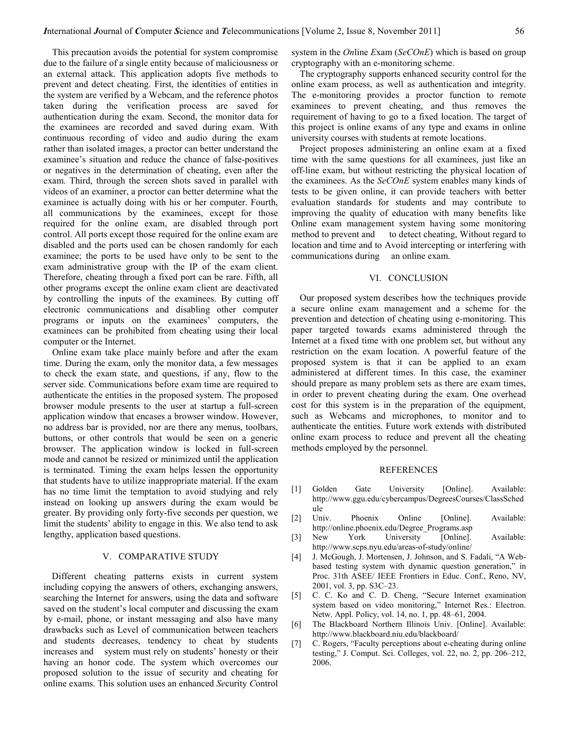This precaution avoids the potential for system compromise due to the failure of a single entity because of maliciousness or an external attack. This application adopts five methods to prevent and detect cheating. First, the identities of entities in the system are verified by a Webcam, and the reference photos taken during the verification process are saved for authentication during the exam. Second, the monitor data for the examinees are recorded and saved during exam. With continuous recording of video and audio during the exam rather than isolated images, a proctor can better understand the examinee's situation and reduce the chance of false-positives or negatives in the determination of cheating, even after the exam. Third, through the screen shots saved in parallel with videos of an examiner, a proctor can better determine what the examinee is actually doing with his or her computer. Fourth, all communications by the examinees, except for those required for the online exam, are disabled through port control. All ports except those required for the online exam are disabled and the ports used can be chosen randomly for each examinee; the ports to be used have only to be sent to the exam administrative group with the IP of the exam client. Therefore, cheating through a fixed port can be rare. Fifth, all other programs except the online exam client are deactivated by controlling the inputs of the examinees. By cutting off electronic communications and disabling other computer programs or inputs on the examinees' computers, the examinees can be prohibited from cheating using their local computer or the Internet.

Online exam take place mainly before and after the exam time. During the exam, only the monitor data, a few messages to check the exam state, and questions, if any, flow to the server side. Communications before exam time are required to authenticate the entities in the proposed system. The proposed browser module presents to the user at startup a full-screen application window that encases a browser window. However, no address bar is provided, nor are there any menus, toolbars, buttons, or other controls that would be seen on a generic browser. The application window is locked in full-screen mode and cannot be resized or minimized until the application is terminated. Timing the exam helps lessen the opportunity that students have to utilize inappropriate material. If the exam has no time limit the temptation to avoid studying and rely instead on looking up answers during the exam would be greater. By providing only forty-five seconds per question, we limit the students' ability to engage in this. We also tend to ask lengthy, application based questions.

#### V. COMPARATIVE STUDY

Different cheating patterns exists in current system including copying the answers of others, exchanging answers, searching the Internet for answers, using the data and software saved on the student's local computer and discussing the exam by e-mail, phone, or instant messaging and also have many drawbacks such as Level of communication between teachers and students decreases, tendency to cheat by students increases and system must rely on students' honesty or their having an honor code. The system which overcomes our proposed solution to the issue of security and cheating for online exams. This solution uses an enhanced Security Control system in the Online Exam (SeCOnE) which is based on group cryptography with an e-monitoring scheme.

The cryptography supports enhanced security control for the online exam process, as well as authentication and integrity. The e-monitoring provides a proctor function to remote examinees to prevent cheating, and thus removes the requirement of having to go to a fixed location. The target of this project is online exams of any type and exams in online university courses with students at remote locations.

Project proposes administering an online exam at a fixed time with the same questions for all examinees, just like an off-line exam, but without restricting the physical location of the examinees. As the SeCOnE system enables many kinds of tests to be given online, it can provide teachers with better evaluation standards for students and may contribute to improving the quality of education with many benefits like Online exam management system having some monitoring method to prevent and to detect cheating, Without regard to location and time and to Avoid intercepting or interfering with communications during an online exam.

#### VI. CONCLUSION

Our proposed system describes how the techniques provide a secure online exam management and a scheme for the prevention and detection of cheating using e-monitoring. This paper targeted towards exams administered through the Internet at a fixed time with one problem set, but without any restriction on the exam location. A powerful feature of the proposed system is that it can be applied to an exam administered at different times. In this case, the examiner should prepare as many problem sets as there are exam times, in order to prevent cheating during the exam. One overhead cost for this system is in the preparation of the equipment, such as Webcams and microphones, to monitor and to authenticate the entities. Future work extends with distributed online exam process to reduce and prevent all the cheating methods employed by the personnel.

#### REFERENCES

- [1] Golden Gate University [Online]. Available: http://www.ggu.edu/cybercampus/DegreesCourses/ClassSched ule
- [2] Univ. Phoenix Online [Online]. Available: http://online.phoenix.edu/Degree\_Programs.asp<br>New York University [Online].
- [3] New York University [Online]. Available: http://www.scps.nyu.edu/areas-of-study/online/
- [4] J. McGough, J. Mortensen, J. Johnson, and S. Fadali, "A Webbased testing system with dynamic question generation," in Proc. 31th ASEE/ IEEE Frontiers in Educ. Conf., Reno, NV, 2001, vol. 3, pp. S3C–23.
- [5] C. C. Ko and C. D. Cheng, "Secure Internet examination system based on video monitoring," Internet Res.: Electron. Netw. Appl. Policy, vol. 14, no. 1, pp. 48–61, 2004.
- [6] The Blackboard Northern Illinois Univ. [Online]. Available: http://www.blackboard.niu.edu/blackboard/
- [7] C. Rogers, "Faculty perceptions about e-cheating during online testing," J. Comput. Sci. Colleges, vol. 22, no. 2, pp. 206–212, 2006.